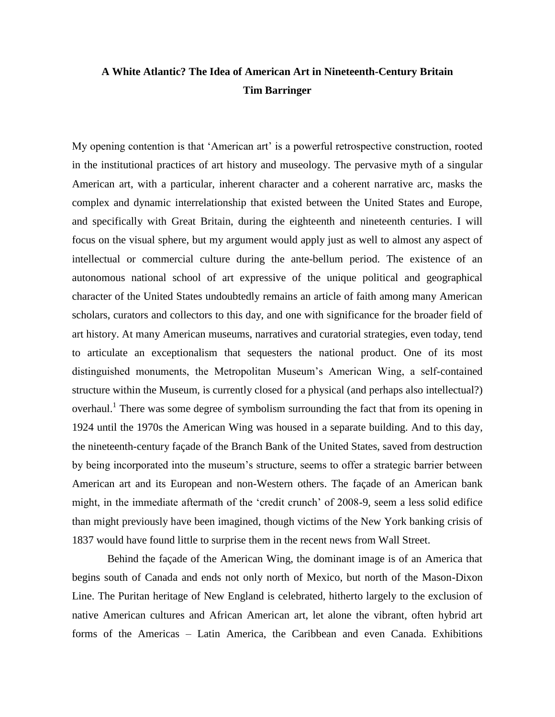# **A White Atlantic? The Idea of American Art in Nineteenth-Century Britain Tim Barringer**

My opening contention is that 'American art' is a powerful retrospective construction, rooted in the institutional practices of art history and museology. The pervasive myth of a singular American art, with a particular, inherent character and a coherent narrative arc, masks the complex and dynamic interrelationship that existed between the United States and Europe, and specifically with Great Britain, during the eighteenth and nineteenth centuries. I will focus on the visual sphere, but my argument would apply just as well to almost any aspect of intellectual or commercial culture during the ante-bellum period. The existence of an autonomous national school of art expressive of the unique political and geographical character of the United States undoubtedly remains an article of faith among many American scholars, curators and collectors to this day, and one with significance for the broader field of art history. At many American museums, narratives and curatorial strategies, even today, tend to articulate an exceptionalism that sequesters the national product. One of its most distinguished monuments, the Metropolitan Museum"s American Wing, a self-contained structure within the Museum, is currently closed for a physical (and perhaps also intellectual?) overhaul.<sup>1</sup> There was some degree of symbolism surrounding the fact that from its opening in 1924 until the 1970s the American Wing was housed in a separate building. And to this day, the nineteenth-century façade of the Branch Bank of the United States, saved from destruction by being incorporated into the museum"s structure, seems to offer a strategic barrier between American art and its European and non-Western others. The façade of an American bank might, in the immediate aftermath of the "credit crunch" of 2008-9, seem a less solid edifice than might previously have been imagined, though victims of the New York banking crisis of 1837 would have found little to surprise them in the recent news from Wall Street.

Behind the façade of the American Wing, the dominant image is of an America that begins south of Canada and ends not only north of Mexico, but north of the Mason-Dixon Line. The Puritan heritage of New England is celebrated, hitherto largely to the exclusion of native American cultures and African American art, let alone the vibrant, often hybrid art forms of the Americas – Latin America, the Caribbean and even Canada. Exhibitions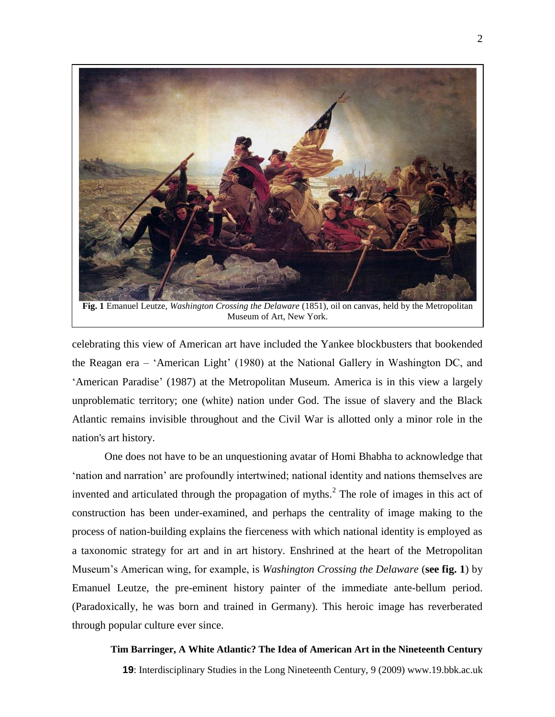

**Fig. 1** Emanuel Leutze, *Washington Crossing the Delaware* (1851), oil on canvas, held by the Metropolitan Museum of Art, New York.

celebrating this view of American art have included the Yankee blockbusters that bookended the Reagan era – "American Light" (1980) at the National Gallery in Washington DC, and "American Paradise" (1987) at the Metropolitan Museum*.* America is in this view a largely unproblematic territory; one (white) nation under God. The issue of slavery and the Black Atlantic remains invisible throughout and the Civil War is allotted only a minor role in the nation's art history.

One does not have to be an unquestioning avatar of Homi Bhabha to acknowledge that "nation and narration" are profoundly intertwined; national identity and nations themselves are invented and articulated through the propagation of myths. $2$  The role of images in this act of construction has been under-examined, and perhaps the centrality of image making to the process of nation-building explains the fierceness with which national identity is employed as a taxonomic strategy for art and in art history. Enshrined at the heart of the Metropolitan Museum"s American wing, for example, is *Washington Crossing the Delaware* (**see fig. 1**) by Emanuel Leutze, the pre-eminent history painter of the immediate ante-bellum period. (Paradoxically, he was born and trained in Germany). This heroic image has reverberated through popular culture ever since.

### **Tim Barringer, A White Atlantic? The Idea of American Art in the Nineteenth Century**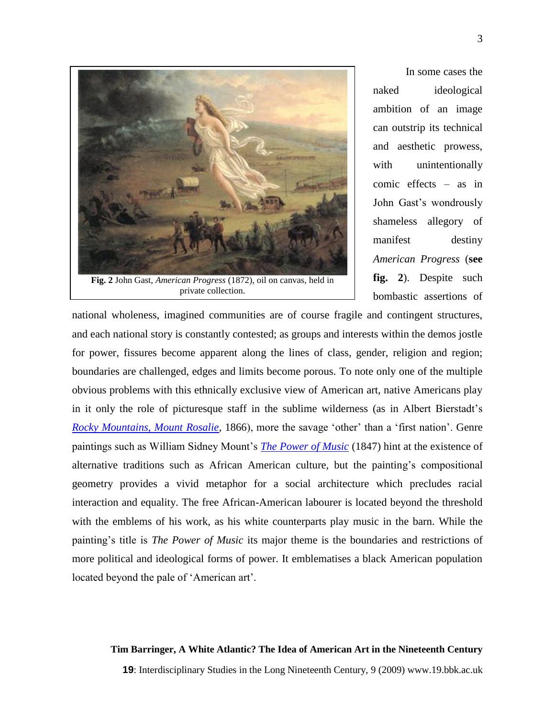

In some cases the naked ideological ambition of an image can outstrip its technical and aesthetic prowess, with unintentionally comic effects – as in John Gast's wondrously shameless allegory of manifest destiny *American Progress* (**see fig. 2**). Despite such bombastic assertions of

national wholeness, imagined communities are of course fragile and contingent structures, and each national story is constantly contested; as groups and interests within the demos jostle for power, fissures become apparent along the lines of class, gender, religion and region; boundaries are challenged, edges and limits become porous. To note only one of the multiple obvious problems with this ethnically exclusive view of American art, native Americans play in it only the role of picturesque staff in the sublime wilderness (as in Albert Bierstadt"s *[Rocky Mountains, Mount Rosalie,](http://www.brooklynmuseum.org/opencollection/objects/1558/A_Storm_in_the_Rocky_Mountains,_Mt._Rosalie)* 1866), more the savage "other" than a "first nation". Genre paintings such as William Sidney Mount"s *[The Power of Music](http://www.clemusart.com/Explore/work.asp?woid=3567)* (1847) hint at the existence of alternative traditions such as African American culture, but the painting"s compositional geometry provides a vivid metaphor for a social architecture which precludes racial interaction and equality. The free African-American labourer is located beyond the threshold with the emblems of his work, as his white counterparts play music in the barn. While the painting"s title is *The Power of Music* its major theme is the boundaries and restrictions of more political and ideological forms of power. It emblematises a black American population located beyond the pale of 'American art'.

#### **Tim Barringer, A White Atlantic? The Idea of American Art in the Nineteenth Century**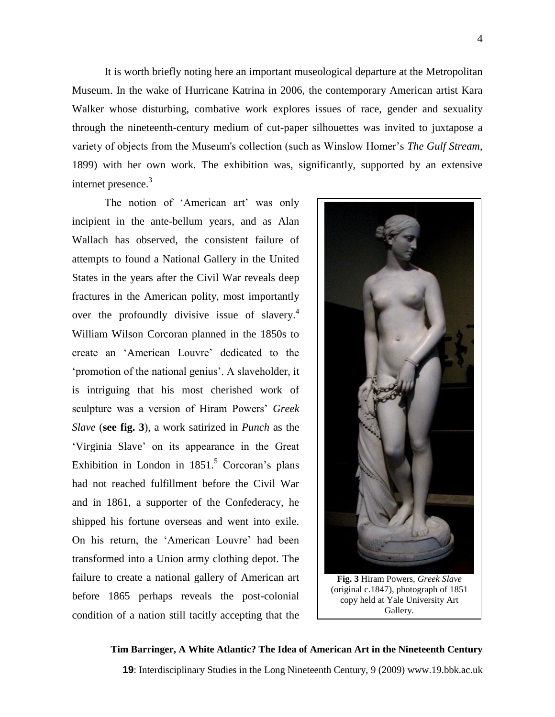It is worth briefly noting here an important museological departure at the Metropolitan Museum. In the wake of Hurricane Katrina in 2006, the contemporary American artist Kara Walker whose disturbing, combative work explores issues of race, gender and sexuality through the nineteenth-century medium of cut-paper silhouettes was invited to juxtapose a variety of objects from the Museum's collection (such as Winslow Homer"s *The Gulf Stream*, 1899) with her own work. The exhibition was, significantly, supported by an extensive internet presence.<sup>3</sup>

The notion of 'American art' was only incipient in the ante-bellum years, and as Alan Wallach has observed, the consistent failure of attempts to found a National Gallery in the United States in the years after the Civil War reveals deep fractures in the American polity, most importantly over the profoundly divisive issue of slavery.<sup>4</sup> William Wilson Corcoran planned in the 1850s to create an "American Louvre" dedicated to the 'promotion of the national genius'. A slaveholder, it is intriguing that his most cherished work of sculpture was a version of Hiram Powers" *Greek Slave* (**see fig. 3**), a work satirized in *Punch* as the "Virginia Slave" on its appearance in the Great Exhibition in London in  $1851<sup>5</sup>$  Corcoran's plans had not reached fulfillment before the Civil War and in 1861, a supporter of the Confederacy, he shipped his fortune overseas and went into exile. On his return, the "American Louvre" had been transformed into a Union army clothing depot. The failure to create a national gallery of American art before 1865 perhaps reveals the post-colonial condition of a nation still tacitly accepting that the



(original c.1847), photograph of 1851 copy held at Yale University Art Gallery.

### **Tim Barringer, A White Atlantic? The Idea of American Art in the Nineteenth Century**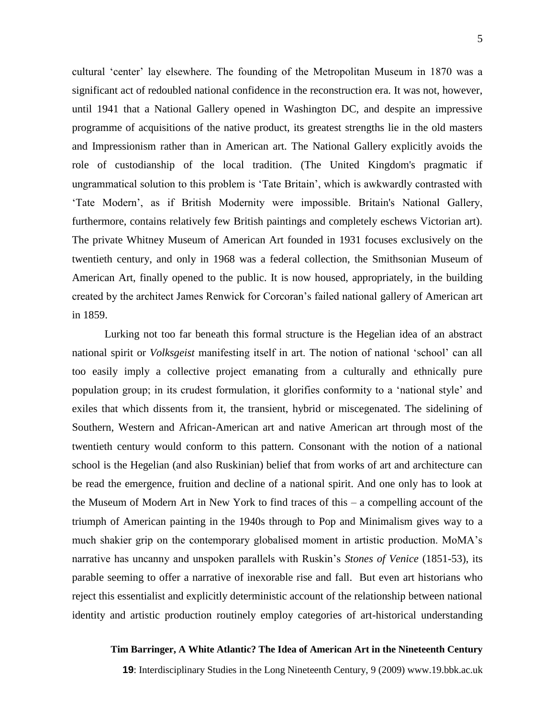cultural 'center' lay elsewhere. The founding of the Metropolitan Museum in 1870 was a significant act of redoubled national confidence in the reconstruction era. It was not, however, until 1941 that a National Gallery opened in Washington DC, and despite an impressive programme of acquisitions of the native product, its greatest strengths lie in the old masters and Impressionism rather than in American art. The National Gallery explicitly avoids the role of custodianship of the local tradition. (The United Kingdom's pragmatic if ungrammatical solution to this problem is "Tate Britain", which is awkwardly contrasted with "Tate Modern", as if British Modernity were impossible. Britain's National Gallery, furthermore, contains relatively few British paintings and completely eschews Victorian art). The private Whitney Museum of American Art founded in 1931 focuses exclusively on the twentieth century, and only in 1968 was a federal collection, the Smithsonian Museum of American Art, finally opened to the public. It is now housed, appropriately, in the building created by the architect James Renwick for Corcoran"s failed national gallery of American art in 1859.

Lurking not too far beneath this formal structure is the Hegelian idea of an abstract national spirit or *Volksgeist* manifesting itself in art. The notion of national "school" can all too easily imply a collective project emanating from a culturally and ethnically pure population group; in its crudest formulation, it glorifies conformity to a "national style" and exiles that which dissents from it, the transient, hybrid or miscegenated. The sidelining of Southern, Western and African-American art and native American art through most of the twentieth century would conform to this pattern. Consonant with the notion of a national school is the Hegelian (and also Ruskinian) belief that from works of art and architecture can be read the emergence, fruition and decline of a national spirit. And one only has to look at the Museum of Modern Art in New York to find traces of this – a compelling account of the triumph of American painting in the 1940s through to Pop and Minimalism gives way to a much shakier grip on the contemporary globalised moment in artistic production. MoMA"s narrative has uncanny and unspoken parallels with Ruskin"s *Stones of Venice* (1851-53), its parable seeming to offer a narrative of inexorable rise and fall. But even art historians who reject this essentialist and explicitly deterministic account of the relationship between national identity and artistic production routinely employ categories of art-historical understanding

### **Tim Barringer, A White Atlantic? The Idea of American Art in the Nineteenth Century**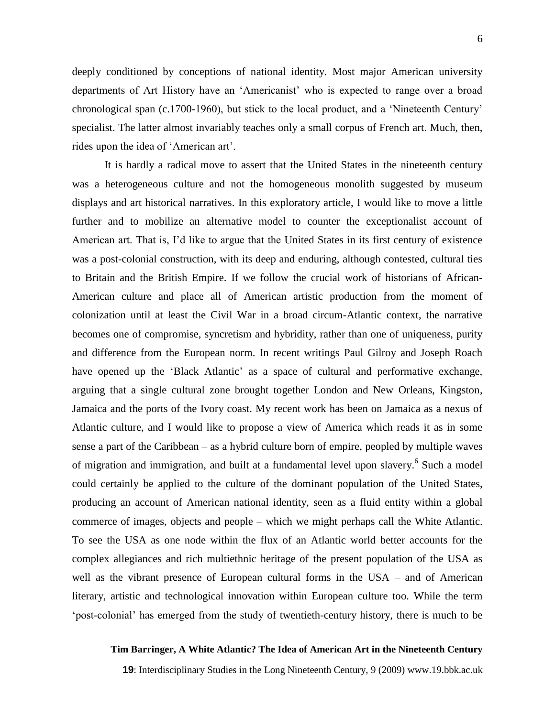6

deeply conditioned by conceptions of national identity. Most major American university departments of Art History have an "Americanist" who is expected to range over a broad chronological span (c.1700-1960), but stick to the local product, and a "Nineteenth Century" specialist. The latter almost invariably teaches only a small corpus of French art. Much, then, rides upon the idea of "American art".

It is hardly a radical move to assert that the United States in the nineteenth century was a heterogeneous culture and not the homogeneous monolith suggested by museum displays and art historical narratives. In this exploratory article, I would like to move a little further and to mobilize an alternative model to counter the exceptionalist account of American art. That is, I'd like to argue that the United States in its first century of existence was a post-colonial construction, with its deep and enduring, although contested, cultural ties to Britain and the British Empire. If we follow the crucial work of historians of African-American culture and place all of American artistic production from the moment of colonization until at least the Civil War in a broad circum-Atlantic context, the narrative becomes one of compromise, syncretism and hybridity, rather than one of uniqueness, purity and difference from the European norm. In recent writings Paul Gilroy and Joseph Roach have opened up the 'Black Atlantic' as a space of cultural and performative exchange, arguing that a single cultural zone brought together London and New Orleans, Kingston, Jamaica and the ports of the Ivory coast. My recent work has been on Jamaica as a nexus of Atlantic culture, and I would like to propose a view of America which reads it as in some sense a part of the Caribbean – as a hybrid culture born of empire, peopled by multiple waves of migration and immigration, and built at a fundamental level upon slavery.<sup>6</sup> Such a model could certainly be applied to the culture of the dominant population of the United States, producing an account of American national identity, seen as a fluid entity within a global commerce of images, objects and people – which we might perhaps call the White Atlantic. To see the USA as one node within the flux of an Atlantic world better accounts for the complex allegiances and rich multiethnic heritage of the present population of the USA as well as the vibrant presence of European cultural forms in the USA – and of American literary, artistic and technological innovation within European culture too. While the term "post-colonial" has emerged from the study of twentieth-century history, there is much to be

### **Tim Barringer, A White Atlantic? The Idea of American Art in the Nineteenth Century**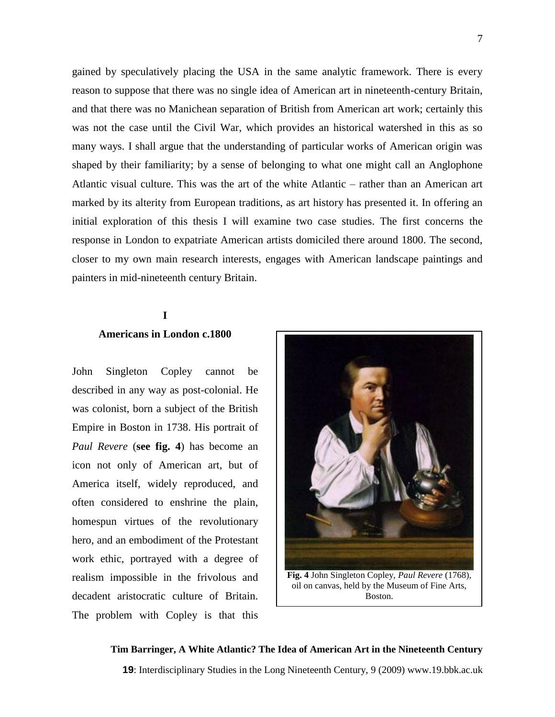gained by speculatively placing the USA in the same analytic framework. There is every reason to suppose that there was no single idea of American art in nineteenth-century Britain, and that there was no Manichean separation of British from American art work; certainly this was not the case until the Civil War, which provides an historical watershed in this as so many ways. I shall argue that the understanding of particular works of American origin was shaped by their familiarity; by a sense of belonging to what one might call an Anglophone Atlantic visual culture. This was the art of the white Atlantic – rather than an American art marked by its alterity from European traditions, as art history has presented it. In offering an initial exploration of this thesis I will examine two case studies. The first concerns the response in London to expatriate American artists domiciled there around 1800. The second, closer to my own main research interests, engages with American landscape paintings and painters in mid-nineteenth century Britain.

# **I Americans in London c.1800**

John Singleton Copley cannot be described in any way as post-colonial. He was colonist, born a subject of the British Empire in Boston in 1738. His portrait of *Paul Revere* (**see fig. 4**) has become an icon not only of American art, but of America itself, widely reproduced, and often considered to enshrine the plain, homespun virtues of the revolutionary hero, and an embodiment of the Protestant work ethic, portrayed with a degree of realism impossible in the frivolous and decadent aristocratic culture of Britain. The problem with Copley is that this



**Fig. 4** John Singleton Copley, *Paul Revere* (1768), oil on canvas, held by the Museum of Fine Arts, Boston.

**Tim Barringer, A White Atlantic? The Idea of American Art in the Nineteenth Century 19**: Interdisciplinary Studies in the Long Nineteenth Century, 9 (2009) www.19.bbk.ac.uk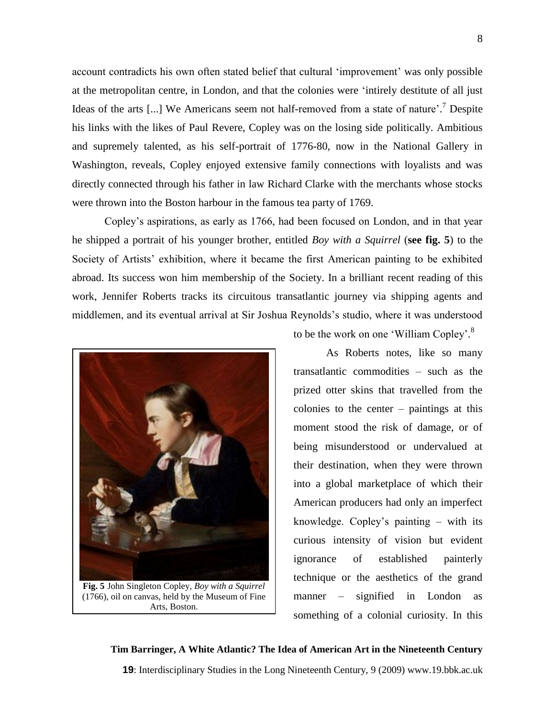account contradicts his own often stated belief that cultural "improvement" was only possible at the metropolitan centre, in London, and that the colonies were "intirely destitute of all just Ideas of the arts [...] We Americans seem not half-removed from a state of nature'.<sup>7</sup> Despite his links with the likes of Paul Revere, Copley was on the losing side politically. Ambitious and supremely talented, as his self-portrait of 1776-80, now in the National Gallery in Washington, reveals, Copley enjoyed extensive family connections with loyalists and was directly connected through his father in law Richard Clarke with the merchants whose stocks were thrown into the Boston harbour in the famous tea party of 1769.

Copley"s aspirations, as early as 1766, had been focused on London, and in that year he shipped a portrait of his younger brother, entitled *Boy with a Squirrel* (**see fig. 5**) to the Society of Artists' exhibition, where it became the first American painting to be exhibited abroad. Its success won him membership of the Society. In a brilliant recent reading of this work, Jennifer Roberts tracks its circuitous transatlantic journey via shipping agents and middlemen, and its eventual arrival at Sir Joshua Reynolds"s studio, where it was understood



**Fig. 5** John Singleton Copley, *Boy with a Squirrel* (1766), oil on canvas, held by the Museum of Fine Arts, Boston.

to be the work on one 'William Copley'.<sup>8</sup>

As Roberts notes, like so many transatlantic commodities – such as the prized otter skins that travelled from the colonies to the center – paintings at this moment stood the risk of damage, or of being misunderstood or undervalued at their destination, when they were thrown into a global marketplace of which their American producers had only an imperfect knowledge. Copley"s painting – with its curious intensity of vision but evident ignorance of established painterly technique or the aesthetics of the grand manner – signified in London as something of a colonial curiosity. In this

# **Tim Barringer, A White Atlantic? The Idea of American Art in the Nineteenth Century 19**: Interdisciplinary Studies in the Long Nineteenth Century, 9 (2009) www.19.bbk.ac.uk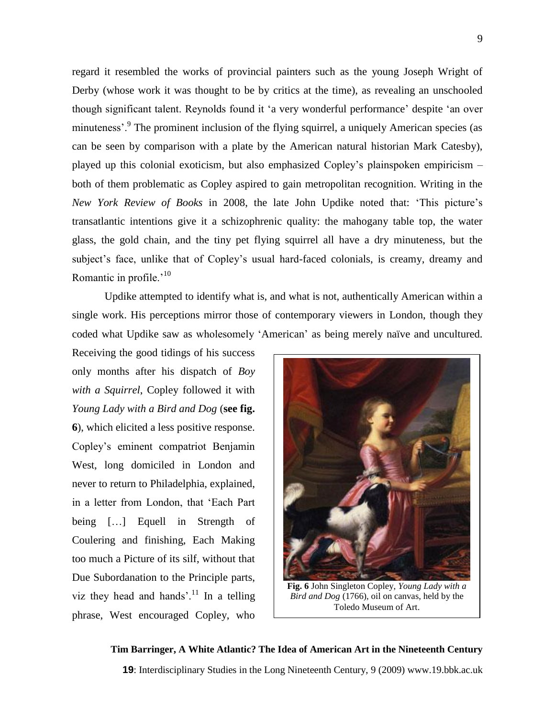regard it resembled the works of provincial painters such as the young Joseph Wright of Derby (whose work it was thought to be by critics at the time), as revealing an unschooled though significant talent. Reynolds found it "a very wonderful performance" despite "an over minuteness'.<sup>9</sup> The prominent inclusion of the flying squirrel, a uniquely American species (as can be seen by comparison with a plate by the American natural historian Mark Catesby), played up this colonial exoticism, but also emphasized Copley"s plainspoken empiricism – both of them problematic as Copley aspired to gain metropolitan recognition. Writing in the *New York Review of Books* in 2008, the late John Updike noted that: "This picture"s transatlantic intentions give it a schizophrenic quality: the mahogany table top, the water glass, the gold chain, and the tiny pet flying squirrel all have a dry minuteness, but the subject's face, unlike that of Copley's usual hard-faced colonials, is creamy, dreamy and Romantic in profile. $10$ 

Updike attempted to identify what is, and what is not, authentically American within a single work. His perceptions mirror those of contemporary viewers in London, though they coded what Updike saw as wholesomely "American" as being merely naïve and uncultured.

Receiving the good tidings of his success only months after his dispatch of *Boy with a Squirrel*, Copley followed it with *Young Lady with a Bird and Dog* (**see fig. 6**), which elicited a less positive response. Copley"s eminent compatriot Benjamin West, long domiciled in London and never to return to Philadelphia, explained, in a letter from London, that "Each Part being […] Equell in Strength of Coulering and finishing, Each Making too much a Picture of its silf, without that Due Subordanation to the Principle parts, viz they head and hands'.<sup>11</sup> In a telling phrase, West encouraged Copley, who



**Fig. 6** John Singleton Copley, *Young Lady with a Bird and Dog* (1766), oil on canvas, held by the Toledo Museum of Art.

# **Tim Barringer, A White Atlantic? The Idea of American Art in the Nineteenth Century**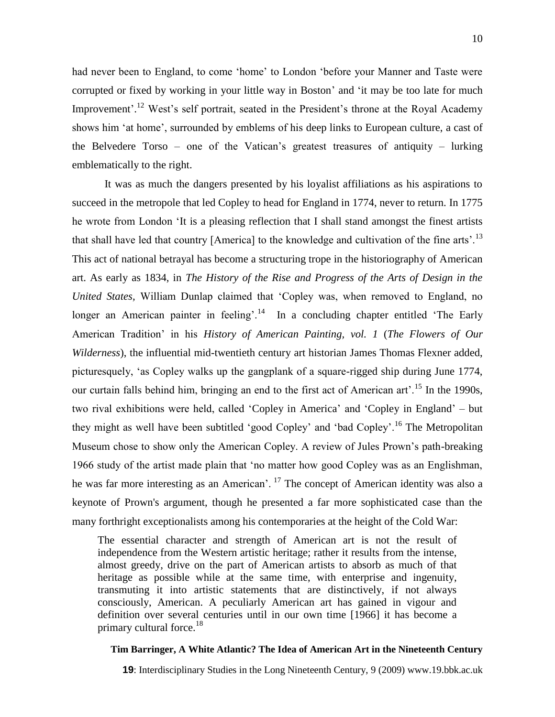had never been to England, to come "home" to London "before your Manner and Taste were corrupted or fixed by working in your little way in Boston' and 'it may be too late for much Improvement'.<sup>12</sup> West's self portrait, seated in the President's throne at the Royal Academy shows him "at home", surrounded by emblems of his deep links to European culture, a cast of the Belvedere Torso – one of the Vatican"s greatest treasures of antiquity – lurking emblematically to the right.

It was as much the dangers presented by his loyalist affiliations as his aspirations to succeed in the metropole that led Copley to head for England in 1774, never to return. In 1775 he wrote from London "It is a pleasing reflection that I shall stand amongst the finest artists that shall have led that country [America] to the knowledge and cultivation of the fine arts'.<sup>13</sup> This act of national betrayal has become a structuring trope in the historiography of American art. As early as 1834, in *The History of the Rise and Progress of the Arts of Design in the United States,* William Dunlap claimed that "Copley was, when removed to England, no longer an American painter in feeling'.<sup>14</sup> In a concluding chapter entitled 'The Early American Tradition" in his *History of American Painting, vol. 1* (*The Flowers of Our Wilderness*), the influential mid-twentieth century art historian James Thomas Flexner added, picturesquely, "as Copley walks up the gangplank of a square-rigged ship during June 1774, our curtain falls behind him, bringing an end to the first act of American art'.<sup>15</sup> In the 1990s, two rival exhibitions were held, called "Copley in America" and "Copley in England" – but they might as well have been subtitled 'good Copley' and 'bad Copley'.<sup>16</sup> The Metropolitan Museum chose to show only the American Copley. A review of Jules Prown"s path-breaking 1966 study of the artist made plain that "no matter how good Copley was as an Englishman, he was far more interesting as an American'. <sup>17</sup> The concept of American identity was also a keynote of Prown's argument, though he presented a far more sophisticated case than the many forthright exceptionalists among his contemporaries at the height of the Cold War:

The essential character and strength of American art is not the result of independence from the Western artistic heritage; rather it results from the intense, almost greedy, drive on the part of American artists to absorb as much of that heritage as possible while at the same time, with enterprise and ingenuity, transmuting it into artistic statements that are distinctively, if not always consciously, American. A peculiarly American art has gained in vigour and definition over several centuries until in our own time [1966] it has become a primary cultural force. $18$ 

### **Tim Barringer, A White Atlantic? The Idea of American Art in the Nineteenth Century**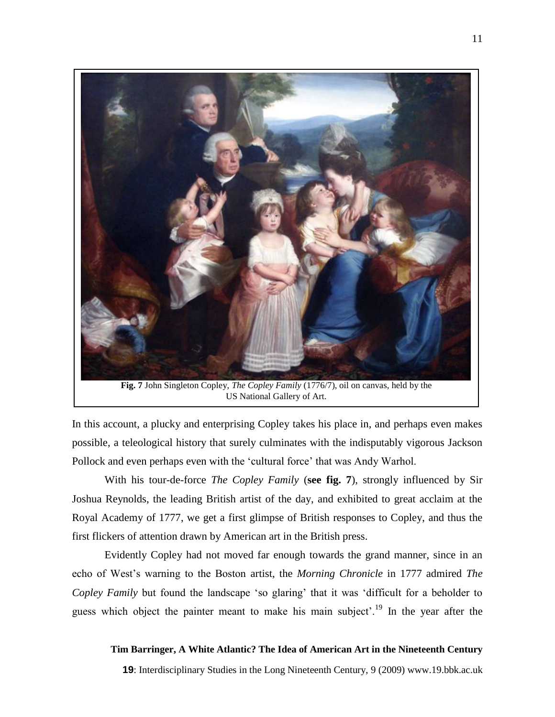

US National Gallery of Art.

In this account, a plucky and enterprising Copley takes his place in, and perhaps even makes possible, a teleological history that surely culminates with the indisputably vigorous Jackson Pollock and even perhaps even with the 'cultural force' that was Andy Warhol.

With his tour-de-force *The Copley Family* (**see fig. 7**), strongly influenced by Sir Joshua Reynolds, the leading British artist of the day, and exhibited to great acclaim at the Royal Academy of 1777, we get a first glimpse of British responses to Copley, and thus the first flickers of attention drawn by American art in the British press.

Evidently Copley had not moved far enough towards the grand manner, since in an echo of West's warning to the Boston artist, the *Morning Chronicle* in 1777 admired *The Copley Family* but found the landscape "so glaring" that it was "difficult for a beholder to guess which object the painter meant to make his main subject'.<sup>19</sup> In the year after the

### **Tim Barringer, A White Atlantic? The Idea of American Art in the Nineteenth Century**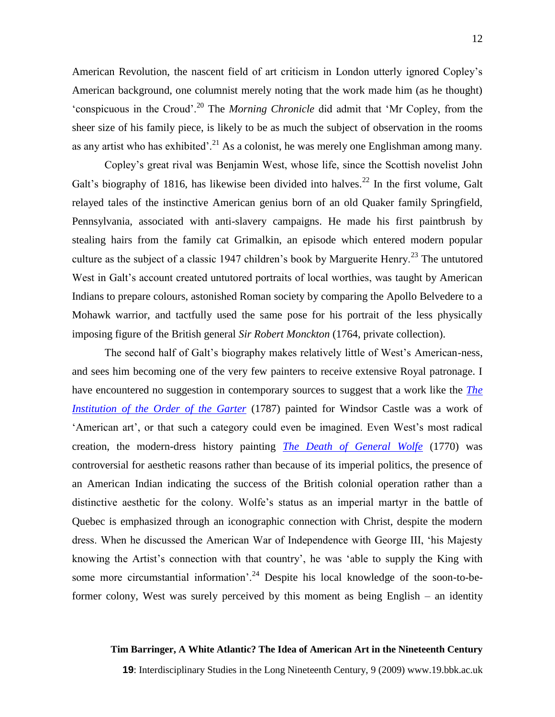American Revolution, the nascent field of art criticism in London utterly ignored Copley"s American background, one columnist merely noting that the work made him (as he thought) "conspicuous in the Croud".<sup>20</sup> The *Morning Chronicle* did admit that "Mr Copley, from the sheer size of his family piece, is likely to be as much the subject of observation in the rooms as any artist who has exhibited'.<sup>21</sup> As a colonist, he was merely one Englishman among many.

Copley"s great rival was Benjamin West, whose life, since the Scottish novelist John Galt's biography of 1816, has likewise been divided into halves.<sup>22</sup> In the first volume, Galt relayed tales of the instinctive American genius born of an old Quaker family Springfield, Pennsylvania, associated with anti-slavery campaigns. He made his first paintbrush by stealing hairs from the family cat Grimalkin, an episode which entered modern popular culture as the subject of a classic 1947 children's book by Marguerite Henry.<sup>23</sup> The untutored West in Galt's account created untutored portraits of local worthies, was taught by American Indians to prepare colours, astonished Roman society by comparing the Apollo Belvedere to a Mohawk warrior, and tactfully used the same pose for his portrait of the less physically imposing figure of the British general *Sir Robert Monckton* (1764, private collection).

The second half of Galt's biography makes relatively little of West's American-ness, and sees him becoming one of the very few painters to receive extensive Royal patronage. I have encountered no suggestion in contemporary sources to suggest that a work like the *[The](http://www.royalcollection.org.uk/eGallery/object.asp?recent=Y&pagesize=100&object=407521&row=614)  [Institution of the Order of the Garter](http://www.royalcollection.org.uk/eGallery/object.asp?recent=Y&pagesize=100&object=407521&row=614)* (1787) painted for Windsor Castle was a work of 'American art', or that such a category could even be imagined. Even West's most radical creation, the modern-dress history painting *[The Death of General Wolfe](http://cybermuse.gallery.ca/cybermuse/search/artwork_e.jsp?mkey=5363)* (1770) was controversial for aesthetic reasons rather than because of its imperial politics, the presence of an American Indian indicating the success of the British colonial operation rather than a distinctive aesthetic for the colony. Wolfe"s status as an imperial martyr in the battle of Quebec is emphasized through an iconographic connection with Christ, despite the modern dress. When he discussed the American War of Independence with George III, "his Majesty knowing the Artist's connection with that country', he was 'able to supply the King with some more circumstantial information'.<sup>24</sup> Despite his local knowledge of the soon-to-beformer colony, West was surely perceived by this moment as being English – an identity

### **Tim Barringer, A White Atlantic? The Idea of American Art in the Nineteenth Century**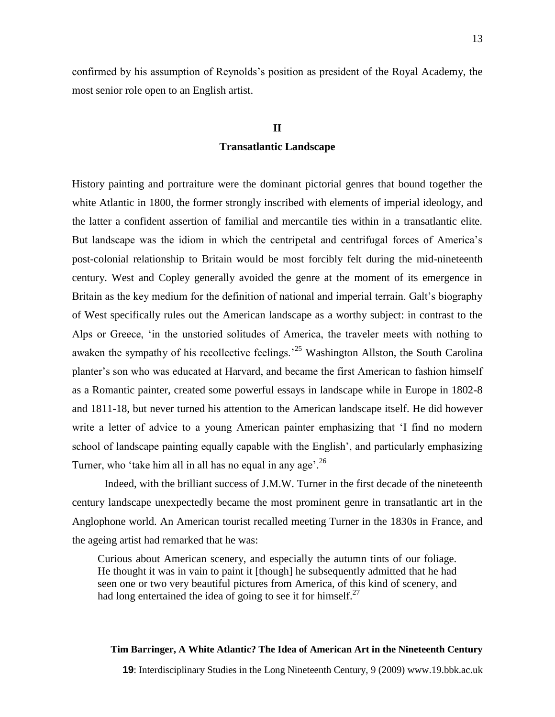confirmed by his assumption of Reynolds"s position as president of the Royal Academy, the most senior role open to an English artist.

## **II Transatlantic Landscape**

History painting and portraiture were the dominant pictorial genres that bound together the white Atlantic in 1800, the former strongly inscribed with elements of imperial ideology, and the latter a confident assertion of familial and mercantile ties within in a transatlantic elite. But landscape was the idiom in which the centripetal and centrifugal forces of America"s post-colonial relationship to Britain would be most forcibly felt during the mid-nineteenth century. West and Copley generally avoided the genre at the moment of its emergence in Britain as the key medium for the definition of national and imperial terrain. Galt's biography of West specifically rules out the American landscape as a worthy subject: in contrast to the Alps or Greece, "in the unstoried solitudes of America, the traveler meets with nothing to awaken the sympathy of his recollective feelings.<sup>25</sup> Washington Allston, the South Carolina planter's son who was educated at Harvard, and became the first American to fashion himself as a Romantic painter, created some powerful essays in landscape while in Europe in 1802-8 and 1811-18, but never turned his attention to the American landscape itself. He did however write a letter of advice to a young American painter emphasizing that "I find no modern school of landscape painting equally capable with the English', and particularly emphasizing Turner, who 'take him all in all has no equal in any age'.<sup>26</sup>

Indeed, with the brilliant success of J.M.W. Turner in the first decade of the nineteenth century landscape unexpectedly became the most prominent genre in transatlantic art in the Anglophone world. An American tourist recalled meeting Turner in the 1830s in France, and the ageing artist had remarked that he was:

Curious about American scenery, and especially the autumn tints of our foliage. He thought it was in vain to paint it [though] he subsequently admitted that he had seen one or two very beautiful pictures from America, of this kind of scenery, and had long entertained the idea of going to see it for himself. $27$ 

### **Tim Barringer, A White Atlantic? The Idea of American Art in the Nineteenth Century**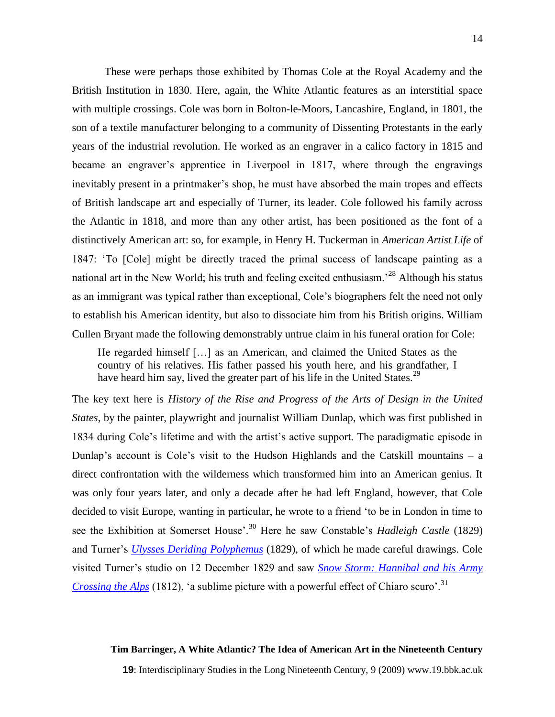These were perhaps those exhibited by Thomas Cole at the Royal Academy and the British Institution in 1830. Here, again, the White Atlantic features as an interstitial space with multiple crossings. Cole was born in Bolton-le-Moors, Lancashire, England, in 1801, the son of a textile manufacturer belonging to a community of Dissenting Protestants in the early years of the industrial revolution. He worked as an engraver in a calico factory in 1815 and became an engraver"s apprentice in Liverpool in 1817, where through the engravings inevitably present in a printmaker's shop, he must have absorbed the main tropes and effects of British landscape art and especially of Turner, its leader. Cole followed his family across the Atlantic in 1818, and more than any other artist, has been positioned as the font of a distinctively American art: so, for example, in Henry H. Tuckerman in *American Artist Life* of 1847: "To [Cole] might be directly traced the primal success of landscape painting as a national art in the New World; his truth and feeling excited enthusiasm.<sup>28</sup> Although his status as an immigrant was typical rather than exceptional, Cole"s biographers felt the need not only to establish his American identity, but also to dissociate him from his British origins. William Cullen Bryant made the following demonstrably untrue claim in his funeral oration for Cole:

He regarded himself […] as an American, and claimed the United States as the country of his relatives. His father passed his youth here, and his grandfather, I have heard him say, lived the greater part of his life in the United States.<sup>29</sup>

The key text here is *History of the Rise and Progress of the Arts of Design in the United States*, by the painter, playwright and journalist William Dunlap, which was first published in 1834 during Cole"s lifetime and with the artist"s active support. The paradigmatic episode in Dunlap's account is Cole's visit to the Hudson Highlands and the Catskill mountains  $-$  a direct confrontation with the wilderness which transformed him into an American genius. It was only four years later, and only a decade after he had left England, however, that Cole decided to visit Europe, wanting in particular, he wrote to a friend "to be in London in time to see the Exhibition at Somerset House<sup>', 30</sup> Here he saw Constable's *Hadleigh Castle* (1829) and Turner"s *[Ulysses Deriding Polyphemus](http://www.nationalgallery.org.uk/server.php?show=conObject.1172)* (1829), of which he made careful drawings. Cole visited Turner"s studio on 12 December 1829 and saw *[Snow Storm: Hannibal and his Army](http://www.tate.org.uk/servlet/ViewWork?workid=14750)  [Crossing the Alps](http://www.tate.org.uk/servlet/ViewWork?workid=14750)* (1812), 'a sublime picture with a powerful effect of Chiaro scuro'.<sup>31</sup>

### **Tim Barringer, A White Atlantic? The Idea of American Art in the Nineteenth Century**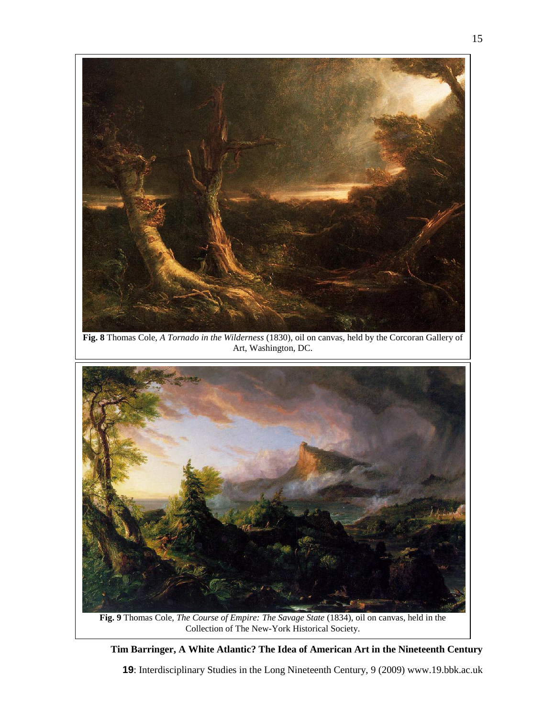

**Fig. 8** Thomas Cole, *A Tornado in the Wilderness* (1830), oil on canvas, held by the Corcoran Gallery of Art, Washington, DC.



Collection of The New-York Historical Society.

### **Tim Barringer, A White Atlantic? The Idea of American Art in the Nineteenth Century**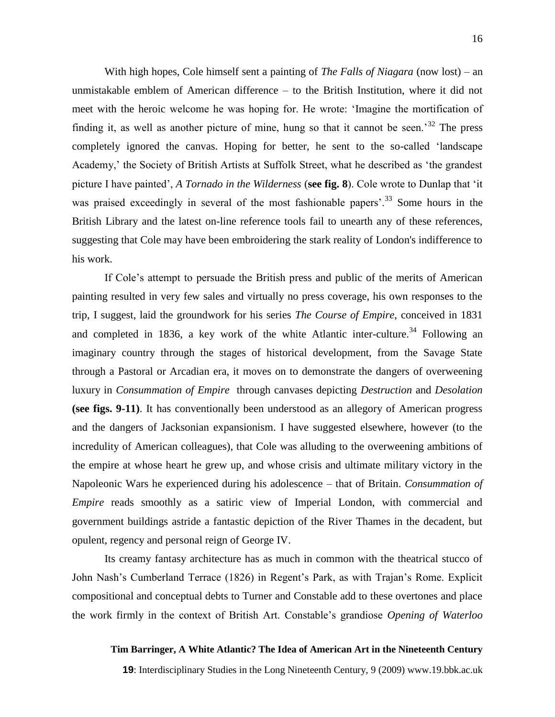With high hopes, Cole himself sent a painting of *The Falls of Niagara* (now lost) – an unmistakable emblem of American difference – to the British Institution, where it did not meet with the heroic welcome he was hoping for. He wrote: "Imagine the mortification of finding it, as well as another picture of mine, hung so that it cannot be seen.<sup>32</sup> The press completely ignored the canvas. Hoping for better, he sent to the so-called "landscape Academy,' the Society of British Artists at Suffolk Street, what he described as 'the grandest picture I have painted", *A Tornado in the Wilderness* (**see fig. 8**). Cole wrote to Dunlap that "it was praised exceedingly in several of the most fashionable papers'.<sup>33</sup> Some hours in the British Library and the latest on-line reference tools fail to unearth any of these references, suggesting that Cole may have been embroidering the stark reality of London's indifference to his work.

If Cole"s attempt to persuade the British press and public of the merits of American painting resulted in very few sales and virtually no press coverage, his own responses to the trip, I suggest, laid the groundwork for his series *The Course of Empire*, conceived in 1831 and completed in 1836, a key work of the white Atlantic inter-culture.<sup>34</sup> Following an imaginary country through the stages of historical development, from the Savage State through a Pastoral or Arcadian era, it moves on to demonstrate the dangers of overweening luxury in *Consummation of Empire* through canvases depicting *Destruction* and *Desolation*  **(see figs. 9-11)**. It has conventionally been understood as an allegory of American progress and the dangers of Jacksonian expansionism. I have suggested elsewhere, however (to the incredulity of American colleagues), that Cole was alluding to the overweening ambitions of the empire at whose heart he grew up, and whose crisis and ultimate military victory in the Napoleonic Wars he experienced during his adolescence – that of Britain. *Consummation of Empire* reads smoothly as a satiric view of Imperial London, with commercial and government buildings astride a fantastic depiction of the River Thames in the decadent, but opulent, regency and personal reign of George IV.

Its creamy fantasy architecture has as much in common with the theatrical stucco of John Nash's Cumberland Terrace (1826) in Regent's Park, as with Trajan's Rome. Explicit compositional and conceptual debts to Turner and Constable add to these overtones and place the work firmly in the context of British Art. Constable"s grandiose *Opening of Waterloo* 

### **Tim Barringer, A White Atlantic? The Idea of American Art in the Nineteenth Century**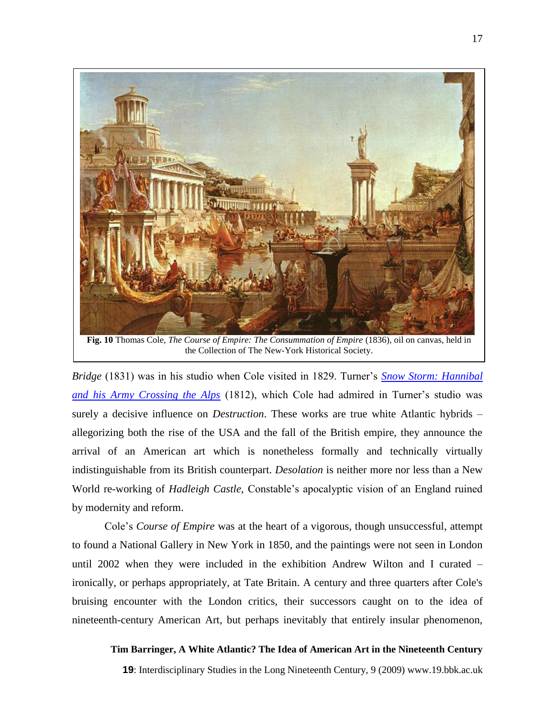

the Collection of The New-York Historical Society.

*Bridge* (1831) was in his studio when Cole visited in 1829. Turner's **Snow Storm: Hannibal** *[and his Army Crossing the Alps](http://www.tate.org.uk/servlet/ViewWork?workid=14750)* (1812), which Cole had admired in Turner's studio was surely a decisive influence on *Destruction*. These works are true white Atlantic hybrids – allegorizing both the rise of the USA and the fall of the British empire, they announce the arrival of an American art which is nonetheless formally and technically virtually indistinguishable from its British counterpart. *Desolation* is neither more nor less than a New World re-working of *Hadleigh Castle*, Constable"s apocalyptic vision of an England ruined by modernity and reform.

Cole"s *Course of Empire* was at the heart of a vigorous, though unsuccessful, attempt to found a National Gallery in New York in 1850, and the paintings were not seen in London until 2002 when they were included in the exhibition Andrew Wilton and I curated – ironically, or perhaps appropriately, at Tate Britain. A century and three quarters after Cole's bruising encounter with the London critics, their successors caught on to the idea of nineteenth-century American Art, but perhaps inevitably that entirely insular phenomenon,

### **Tim Barringer, A White Atlantic? The Idea of American Art in the Nineteenth Century**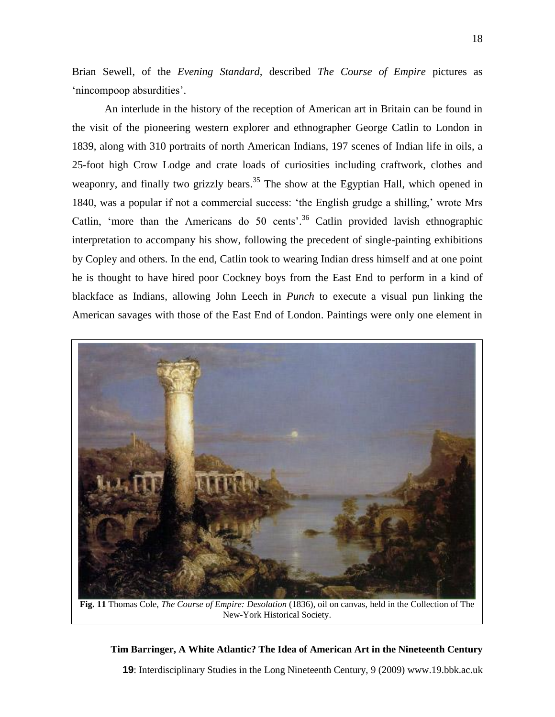Brian Sewell, of the *Evening Standard,* described *The Course of Empire* pictures as 'nincompoop absurdities'.

An interlude in the history of the reception of American art in Britain can be found in the visit of the pioneering western explorer and ethnographer George Catlin to London in 1839, along with 310 portraits of north American Indians, 197 scenes of Indian life in oils, a 25-foot high Crow Lodge and crate loads of curiosities including craftwork, clothes and weaponry, and finally two grizzly bears.<sup>35</sup> The show at the Egyptian Hall, which opened in 1840, was a popular if not a commercial success: 'the English grudge a shilling,' wrote Mrs Catlin, 'more than the Americans do 50 cents'.<sup>36</sup> Catlin provided lavish ethnographic interpretation to accompany his show, following the precedent of single-painting exhibitions by Copley and others. In the end, Catlin took to wearing Indian dress himself and at one point he is thought to have hired poor Cockney boys from the East End to perform in a kind of blackface as Indians, allowing John Leech in *Punch* to execute a visual pun linking the American savages with those of the East End of London. Paintings were only one element in



**Fig. 11** Thomas Cole, *The Course of Empire: Desolation* (1836), oil on canvas, held in the Collection of The New-York Historical Society.

### **Tim Barringer, A White Atlantic? The Idea of American Art in the Nineteenth Century**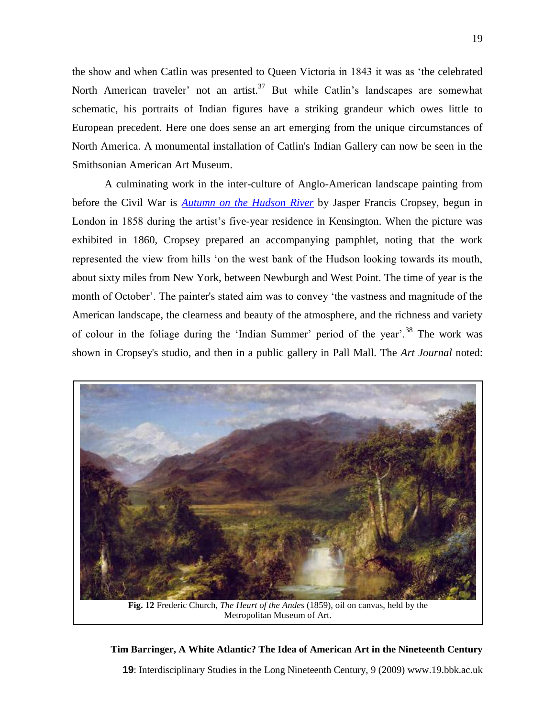the show and when Catlin was presented to Queen Victoria in 1843 it was as "the celebrated North American traveler' not an artist.<sup>37</sup> But while Catlin's landscapes are somewhat schematic, his portraits of Indian figures have a striking grandeur which owes little to European precedent. Here one does sense an art emerging from the unique circumstances of North America. A monumental installation of Catlin's Indian Gallery can now be seen in the Smithsonian American Art Museum.

A culminating work in the inter-culture of Anglo-American landscape painting from before the Civil War is *[Autumn on the Hudson River](http://www.nga.gov/cgi-bin/pinfo?Object=46191+0+none)* by Jasper Francis Cropsey, begun in London in 1858 during the artist"s five-year residence in Kensington. When the picture was exhibited in 1860, Cropsey prepared an accompanying pamphlet, noting that the work represented the view from hills "on the west bank of the Hudson looking towards its mouth, about sixty miles from New York, between Newburgh and West Point. The time of year is the month of October". The painter's stated aim was to convey "the vastness and magnitude of the American landscape, the clearness and beauty of the atmosphere, and the richness and variety of colour in the foliage during the 'Indian Summer' period of the year'.<sup>38</sup> The work was shown in Cropsey's studio, and then in a public gallery in Pall Mall. The *Art Journal* noted:



Metropolitan Museum of Art.

### **Tim Barringer, A White Atlantic? The Idea of American Art in the Nineteenth Century**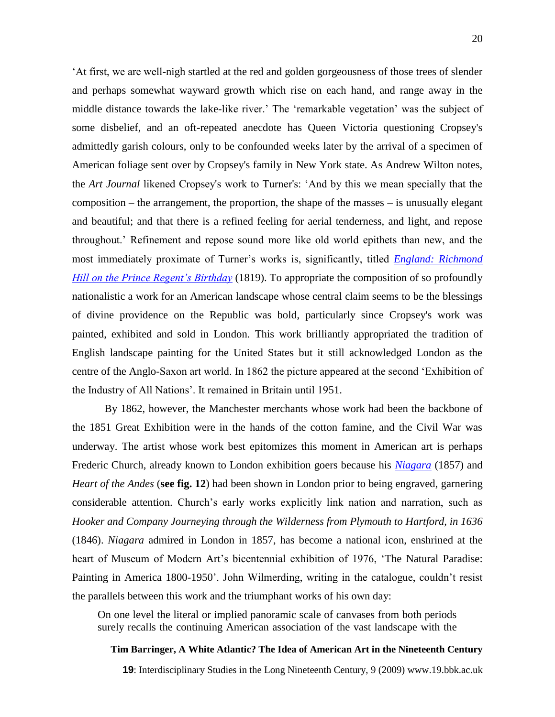"At first, we are well-nigh startled at the red and golden gorgeousness of those trees of slender and perhaps somewhat wayward growth which rise on each hand, and range away in the middle distance towards the lake-like river.' The 'remarkable vegetation' was the subject of some disbelief, and an oft-repeated anecdote has Queen Victoria questioning Cropsey's admittedly garish colours, only to be confounded weeks later by the arrival of a specimen of American foliage sent over by Cropsey's family in New York state. As Andrew Wilton notes, the *Art Journal* likened Cropsey's work to Turner's: "And by this we mean specially that the composition – the arrangement, the proportion, the shape of the masses – is unusually elegant and beautiful; and that there is a refined feeling for aerial tenderness, and light, and repose throughout." Refinement and repose sound more like old world epithets than new, and the most immediately proximate of Turner"s works is, significantly, titled *[England: Richmond](http://www.tate.org.uk/servlet/ViewWork?workid=14761&roomid=1992)  [Hill on the Prince Regent's Birthday](http://www.tate.org.uk/servlet/ViewWork?workid=14761&roomid=1992)* (1819). To appropriate the composition of so profoundly nationalistic a work for an American landscape whose central claim seems to be the blessings of divine providence on the Republic was bold, particularly since Cropsey's work was painted, exhibited and sold in London. This work brilliantly appropriated the tradition of English landscape painting for the United States but it still acknowledged London as the centre of the Anglo-Saxon art world. In 1862 the picture appeared at the second "Exhibition of the Industry of All Nations". It remained in Britain until 1951.

By 1862, however, the Manchester merchants whose work had been the backbone of the 1851 Great Exhibition were in the hands of the cotton famine, and the Civil War was underway. The artist whose work best epitomizes this moment in American art is perhaps Frederic Church, already known to London exhibition goers because his *[Niagara](http://www.corcoran.org/collection/highlights_main_results.asp?ID=51)* (1857) and *Heart of the Andes* (**see fig. 12**) had been shown in London prior to being engraved, garnering considerable attention. Church"s early works explicitly link nation and narration, such as *Hooker and Company Journeying through the Wilderness from Plymouth to Hartford, in 1636* (1846). *Niagara* admired in London in 1857, has become a national icon, enshrined at the heart of Museum of Modern Art's bicentennial exhibition of 1976, 'The Natural Paradise: Painting in America 1800-1950'. John Wilmerding, writing in the catalogue, couldn't resist the parallels between this work and the triumphant works of his own day:

On one level the literal or implied panoramic scale of canvases from both periods surely recalls the continuing American association of the vast landscape with the

### **Tim Barringer, A White Atlantic? The Idea of American Art in the Nineteenth Century**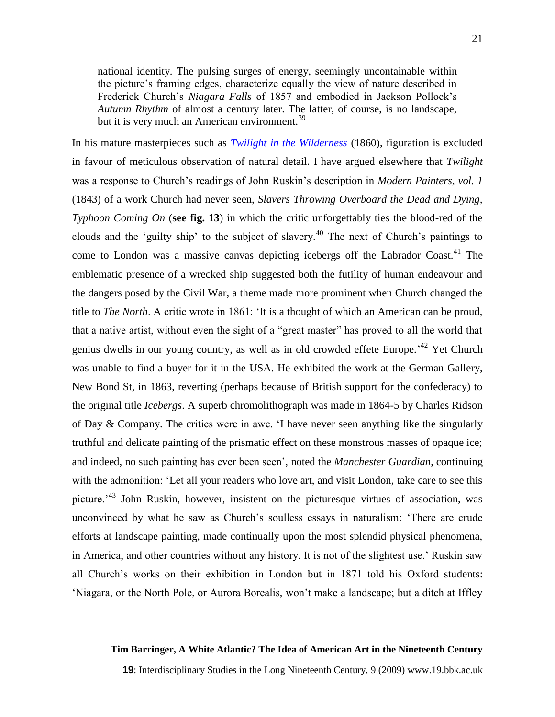national identity. The pulsing surges of energy, seemingly uncontainable within the picture"s framing edges, characterize equally the view of nature described in Frederick Church"s *Niagara Falls* of 1857 and embodied in Jackson Pollock"s *Autumn Rhythm* of almost a century later. The latter, of course, is no landscape, but it is very much an American environment.<sup>39</sup>

In his mature masterpieces such as *[Twilight in the Wilderness](http://www.clevelandart.org/exhibcef/highlights/html/3910085.html)* (1860), figuration is excluded in favour of meticulous observation of natural detail. I have argued elsewhere that *Twilight* was a response to Church"s readings of John Ruskin"s description in *Modern Painters, vol. 1*  (1843) of a work Church had never seen, *Slavers Throwing Overboard the Dead and Dying, Typhoon Coming On* (**see fig. 13**) in which the critic unforgettably ties the blood-red of the clouds and the 'guilty ship' to the subject of slavery.<sup>40</sup> The next of Church's paintings to come to London was a massive canvas depicting icebergs off the Labrador Coast.<sup>41</sup> The emblematic presence of a wrecked ship suggested both the futility of human endeavour and the dangers posed by the Civil War, a theme made more prominent when Church changed the title to *The North*. A critic wrote in 1861: "It is a thought of which an American can be proud, that a native artist, without even the sight of a "great master" has proved to all the world that genius dwells in our young country, as well as in old crowded effete Europe.<sup>42</sup> Yet Church was unable to find a buyer for it in the USA. He exhibited the work at the German Gallery, New Bond St, in 1863, reverting (perhaps because of British support for the confederacy) to the original title *Icebergs*. A superb chromolithograph was made in 1864-5 by Charles Ridson of Day & Company. The critics were in awe. "I have never seen anything like the singularly truthful and delicate painting of the prismatic effect on these monstrous masses of opaque ice; and indeed, no such painting has ever been seen", noted the *Manchester Guardian*, continuing with the admonition: "Let all your readers who love art, and visit London, take care to see this picture.<sup> $43$ </sup> John Ruskin, however, insistent on the picturesque virtues of association, was unconvinced by what he saw as Church"s soulless essays in naturalism: "There are crude efforts at landscape painting, made continually upon the most splendid physical phenomena, in America, and other countries without any history. It is not of the slightest use." Ruskin saw all Church"s works on their exhibition in London but in 1871 told his Oxford students: "Niagara, or the North Pole, or Aurora Borealis, won"t make a landscape; but a ditch at Iffley

### **Tim Barringer, A White Atlantic? The Idea of American Art in the Nineteenth Century**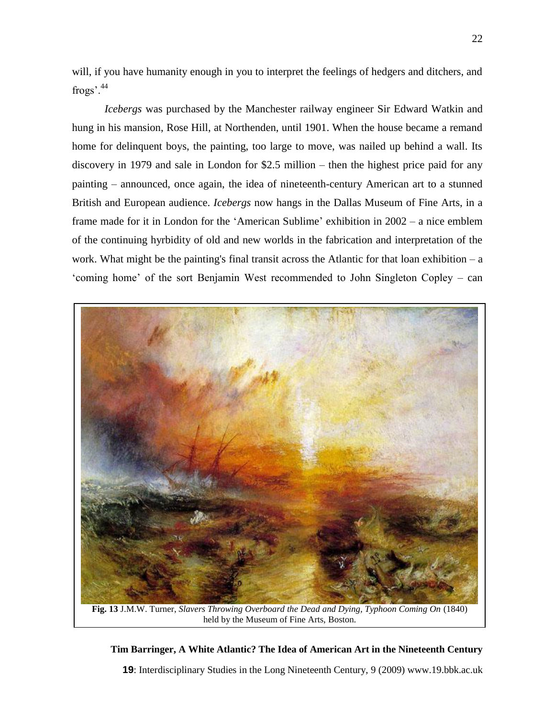will, if you have humanity enough in you to interpret the feelings of hedgers and ditchers, and frogs'.<sup>44</sup>

*Icebergs* was purchased by the Manchester railway engineer Sir Edward Watkin and hung in his mansion, Rose Hill, at Northenden, until 1901. When the house became a remand home for delinquent boys, the painting, too large to move, was nailed up behind a wall. Its discovery in 1979 and sale in London for \$2.5 million – then the highest price paid for any painting – announced, once again, the idea of nineteenth-century American art to a stunned British and European audience. *Icebergs* now hangs in the Dallas Museum of Fine Arts, in a frame made for it in London for the "American Sublime" exhibition in 2002 – a nice emblem of the continuing hyrbidity of old and new worlds in the fabrication and interpretation of the work. What might be the painting's final transit across the Atlantic for that loan exhibition  $-a$ "coming home" of the sort Benjamin West recommended to John Singleton Copley – can



**Fig. 13** J.M.W. Turner, *Slavers Throwing Overboard the Dead and Dying, Typhoon Coming On* (1840) held by the Museum of Fine Arts, Boston.

### **Tim Barringer, A White Atlantic? The Idea of American Art in the Nineteenth Century**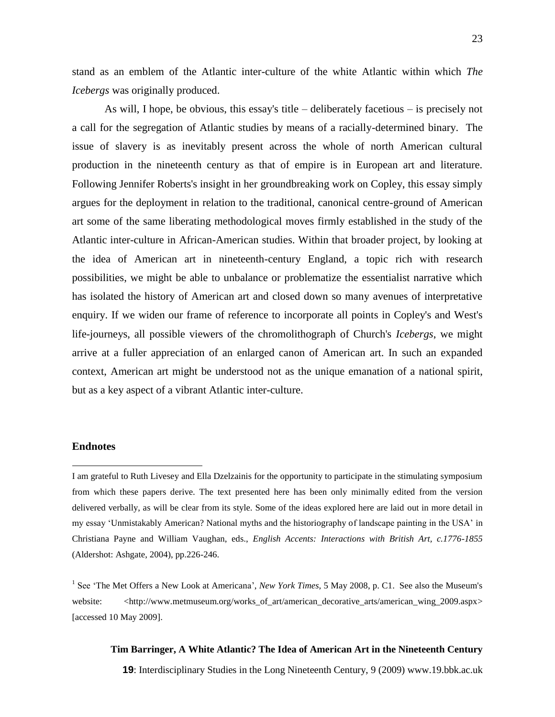stand as an emblem of the Atlantic inter-culture of the white Atlantic within which *The Icebergs* was originally produced.

As will, I hope, be obvious, this essay's title – deliberately facetious – is precisely not a call for the segregation of Atlantic studies by means of a racially-determined binary. The issue of slavery is as inevitably present across the whole of north American cultural production in the nineteenth century as that of empire is in European art and literature. Following Jennifer Roberts's insight in her groundbreaking work on Copley, this essay simply argues for the deployment in relation to the traditional, canonical centre-ground of American art some of the same liberating methodological moves firmly established in the study of the Atlantic inter-culture in African-American studies. Within that broader project, by looking at the idea of American art in nineteenth-century England, a topic rich with research possibilities, we might be able to unbalance or problematize the essentialist narrative which has isolated the history of American art and closed down so many avenues of interpretative enquiry. If we widen our frame of reference to incorporate all points in Copley's and West's life-journeys, all possible viewers of the chromolithograph of Church's *Icebergs*, we might arrive at a fuller appreciation of an enlarged canon of American art. In such an expanded context, American art might be understood not as the unique emanation of a national spirit, but as a key aspect of a vibrant Atlantic inter-culture.

### **Endnotes**

 $\overline{a}$ 

I am grateful to Ruth Livesey and Ella Dzelzainis for the opportunity to participate in the stimulating symposium from which these papers derive. The text presented here has been only minimally edited from the version delivered verbally, as will be clear from its style. Some of the ideas explored here are laid out in more detail in my essay "Unmistakably American? National myths and the historiography of landscape painting in the USA" in Christiana Payne and William Vaughan, eds., *English Accents: Interactions with British Art, c.1776-1855* (Aldershot: Ashgate, 2004), pp.226-246.

<sup>1</sup> See 'The Met Offers a New Look at Americana', *New York Times*, 5 May 2008, p. C1. See also the Museum's website: <http://www.metmuseum.org/works\_of\_art/american\_decorative\_arts/american\_wing\_2009.aspx> [accessed 10 May 2009].

### **Tim Barringer, A White Atlantic? The Idea of American Art in the Nineteenth Century**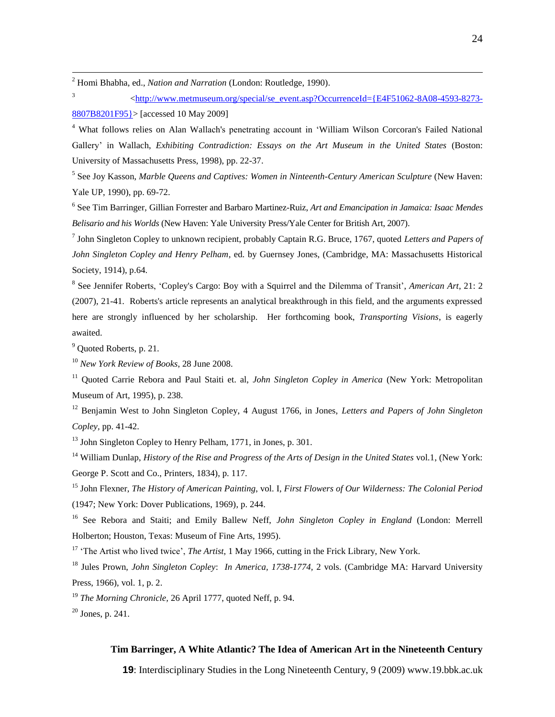<sup>2</sup> Homi Bhabha, ed., *Nation and Narration* (London: Routledge, 1990).

3 [<http://www.metmuseum.org/special/se\\_event.asp?OccurrenceId={E4F51062-8A08-4593-8273-](http://www.metmuseum.org/special/se_event.asp?OccurrenceId=%7bE4F51062-8A08-4593-8273-8807B8201F95%7d) [8807B8201F95}>](http://www.metmuseum.org/special/se_event.asp?OccurrenceId=%7bE4F51062-8A08-4593-8273-8807B8201F95%7d) [accessed 10 May 2009]

<sup>4</sup> What follows relies on Alan Wallach's penetrating account in "William Wilson Corcoran's Failed National Gallery" in Wallach, *Exhibiting Contradiction: Essays on the Art Museum in the United States* (Boston: University of Massachusetts Press, 1998), pp. 22-37.

5 See Joy Kasson, *Marble Queens and Captives: Women in Ninteenth-Century American Sculpture* (New Haven: Yale UP, 1990), pp. 69-72.

6 See Tim Barringer, Gillian Forrester and Barbaro Martinez-Ruiz, *Art and Emancipation in Jamaica: Isaac Mendes Belisario and his Worlds* (New Haven: Yale University Press/Yale Center for British Art, 2007).

7 John Singleton Copley to unknown recipient, probably Captain R.G. Bruce, 1767, quoted *Letters and Papers of John Singleton Copley and Henry Pelham,* ed. by Guernsey Jones, (Cambridge, MA: Massachusetts Historical Society, 1914), p.64.

<sup>8</sup> See Jennifer Roberts, 'Copley's Cargo: Boy with a Squirrel and the Dilemma of Transit', *American Art*, 21: 2 (2007), 21-41. Roberts's article represents an analytical breakthrough in this field, and the arguments expressed here are strongly influenced by her scholarship. Her forthcoming book, *Transporting Visions*, is eagerly awaited.

<sup>9</sup> Quoted Roberts, p. 21.

<u>.</u>

<sup>10</sup> *New York Review of Books*, 28 June 2008.

<sup>11</sup> Quoted Carrie Rebora and Paul Staiti et. al, *John Singleton Copley in America* (New York: Metropolitan Museum of Art, 1995), p. 238.

<sup>12</sup> Benjamin West to John Singleton Copley, 4 August 1766, in Jones, *Letters and Papers of John Singleton Copley,* pp. 41-42.

<sup>13</sup> John Singleton Copley to Henry Pelham, 1771, in Jones, p. 301.

<sup>14</sup> William Dunlap, *History of the Rise and Progress of the Arts of Design in the United States* vol.1, (New York: George P. Scott and Co., Printers, 1834), p. 117.

<sup>15</sup> John Flexner, *The History of American Painting*, vol. I, *First Flowers of Our Wilderness: The Colonial Period* (1947; New York: Dover Publications, 1969), p. 244.

<sup>16</sup> See Rebora and Staiti; and Emily Ballew Neff, *John Singleton Copley in England* (London: Merrell Holberton; Houston, Texas: Museum of Fine Arts, 1995).

<sup>17</sup> 'The Artist who lived twice', *The Artist*, 1 May 1966, cutting in the Frick Library, New York.

<sup>18</sup> Jules Prown, *John Singleton Copley*: *In America, 1738-1774,* 2 vols. (Cambridge MA: Harvard University Press, 1966), vol. 1, p. 2.

<sup>19</sup> *The Morning Chronicle,* 26 April 1777, quoted Neff, p. 94.

 $20$  Jones, p. 241.

### **Tim Barringer, A White Atlantic? The Idea of American Art in the Nineteenth Century**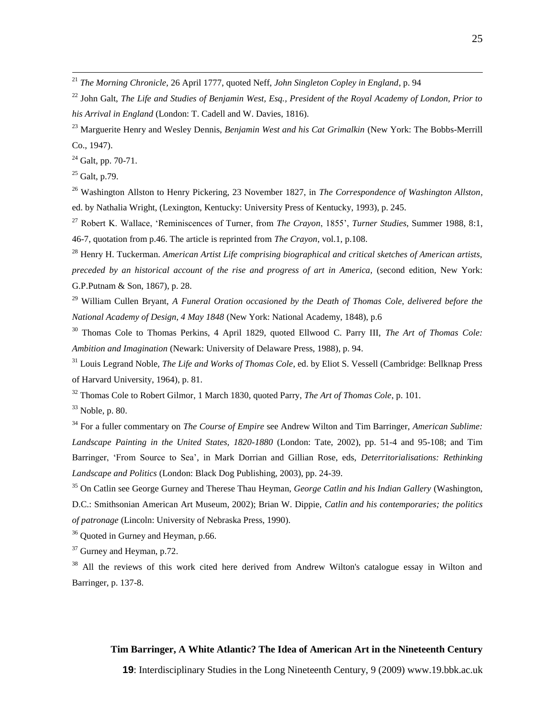<sup>21</sup> *The Morning Chronicle,* 26 April 1777, quoted Neff, *John Singleton Copley in England*, p. 94

<sup>22</sup> John Galt, *The Life and Studies of Benjamin West, Esq., President of the Royal Academy of London, Prior to his Arrival in England* (London: T. Cadell and W. Davies, 1816).

<sup>23</sup> Marguerite Henry and Wesley Dennis, *Benjamin West and his Cat Grimalkin* (New York: The Bobbs-Merrill Co., 1947).

 $24$  Galt, pp. 70-71.

 $25$  Galt, p.79.

<u>.</u>

<sup>26</sup> Washington Allston to Henry Pickering, 23 November 1827, in *The Correspondence of Washington Allston,* ed. by Nathalia Wright, (Lexington, Kentucky: University Press of Kentucky, 1993), p. 245.

<sup>27</sup> Robert K. Wallace, "Reminiscences of Turner, from *The Crayon*, 1855", *Turner Studies*, Summer 1988, 8:1, 46-7, quotation from p.46. The article is reprinted from *The Crayon*, vol.1, p.108.

<sup>28</sup> Henry H. Tuckerman. *American Artist Life comprising biographical and critical sketches of American artists, preceded by an historical account of the rise and progress of art in America,* (second edition, New York: G.P.Putnam & Son, 1867), p. 28.

<sup>29</sup> William Cullen Bryant, *A Funeral Oration occasioned by the Death of Thomas Cole, delivered before the National Academy of Design, 4 May 1848* (New York: National Academy, 1848), p.6

<sup>30</sup> Thomas Cole to Thomas Perkins, 4 April 1829, quoted Ellwood C. Parry III, *The Art of Thomas Cole: Ambition and Imagination* (Newark: University of Delaware Press, 1988), p. 94.

<sup>31</sup> Louis Legrand Noble, *The Life and Works of Thomas Cole*, ed. by Eliot S. Vessell (Cambridge: Bellknap Press of Harvard University, 1964), p. 81.

<sup>32</sup> Thomas Cole to Robert Gilmor, 1 March 1830, quoted Parry, *The Art of Thomas Cole*, p. 101.

 $33$  Noble, p. 80.

<sup>34</sup> For a fuller commentary on *The Course of Empire* see Andrew Wilton and Tim Barringer, *American Sublime: Landscape Painting in the United States, 1820-1880* (London: Tate, 2002), pp. 51-4 and 95-108; and Tim Barringer, "From Source to Sea", in Mark Dorrian and Gillian Rose, eds, *Deterritorialisations: Rethinking Landscape and Politics* (London: Black Dog Publishing, 2003), pp. 24-39.

<sup>35</sup> On Catlin see George Gurney and Therese Thau Heyman, *George Catlin and his Indian Gallery* (Washington, D.C.: Smithsonian American Art Museum, 2002); Brian W. Dippie, *Catlin and his contemporaries; the politics of patronage* (Lincoln: University of Nebraska Press, 1990).

<sup>36</sup> Quoted in Gurney and Heyman, p.66.

<sup>37</sup> Gurney and Heyman, p.72.

<sup>38</sup> All the reviews of this work cited here derived from Andrew Wilton's catalogue essay in Wilton and Barringer, p. 137-8.

### **Tim Barringer, A White Atlantic? The Idea of American Art in the Nineteenth Century**